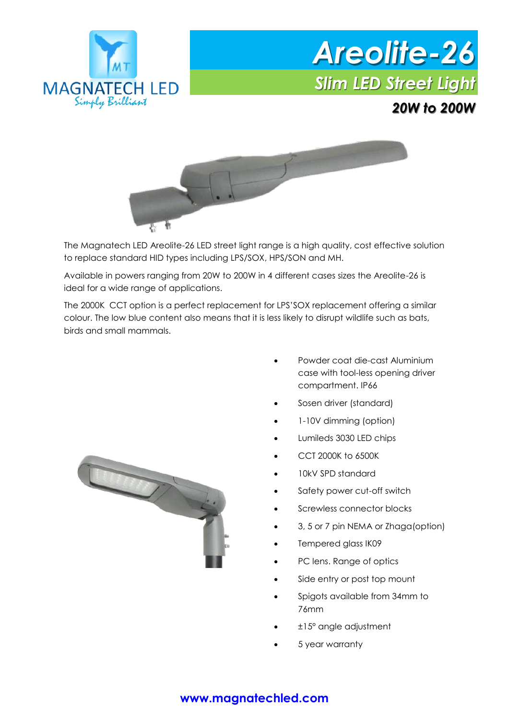





The Magnatech LED Areolite-26 LED street light range is a high quality, cost effective solution to replace standard HID types including LPS/SOX, HPS/SON and MH.

Available in powers ranging from 20W to 200W in 4 different cases sizes the Areolite-26 is ideal for a wide range of applications.

The 2000K CCT option is a perfect replacement for LPS'SOX replacement offering a similar colour. The low blue content also means that it is less likely to disrupt wildlife such as bats, birds and small mammals.



- Powder coat die-cast Aluminium case with tool-less opening driver compartment. IP66
- Sosen driver (standard)
- 1-10V dimming (option)
- Lumileds 3030 LED chips
- CCT 2000K to 6500K
- 10kV SPD standard
- Safety power cut-off switch
- Screwless connector blocks
- 3, 5 or 7 pin NEMA or Zhaga(option)
- Tempered glass IK09
- PC lens. Range of optics
- Side entry or post top mount
- Spigots available from 34mm to 76mm
- ±15° angle adjustment
- 5 year warranty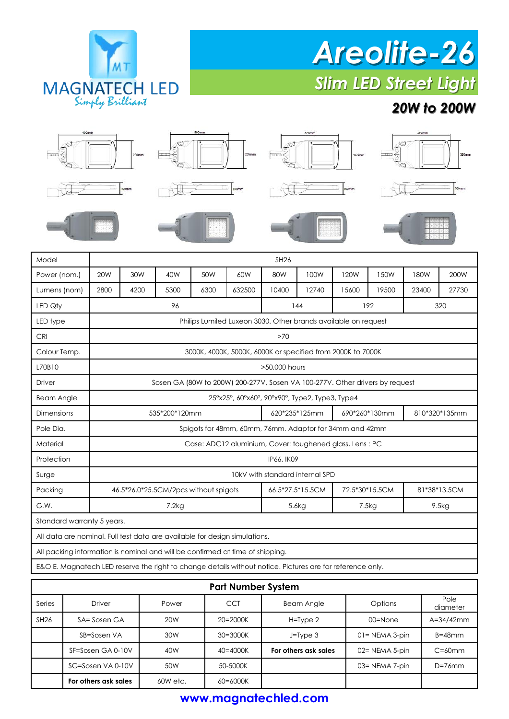

# *Areolite-26 Slim LED Street Light*

# *20W to 200W*



| <b>Part Number System</b> |                      |                 |              |                      |                    |                  |
|---------------------------|----------------------|-----------------|--------------|----------------------|--------------------|------------------|
| Series                    | Driver               | Power           | <b>CCT</b>   | <b>Beam Angle</b>    | Options            | Pole<br>diameter |
| SH26                      | SA= Sosen GA         | 20 <sub>W</sub> | $20 = 2000K$ | $H = Type 2$         | $00 =$ None        | $A = 34/42$ mm   |
|                           | SB=Sosen VA          | 30W             | $30 = 3000K$ | $J = Type 3$         | $01 = NEMA 3-pin$  | $B = 48$ mm      |
|                           | SF=Sosen GA 0-10V    | 40W             | $40 = 4000K$ | For others ask sales | $02 = NEMA 5$ -pin | $C = 60$ mm      |
|                           | SG=Sosen VA 0-10V    | 50W             | 50-5000K     |                      | 03= NEMA 7-pin     | $D=76$ mm        |
|                           | For others ask sales | 60W etc.        | 60=6000K     |                      |                    |                  |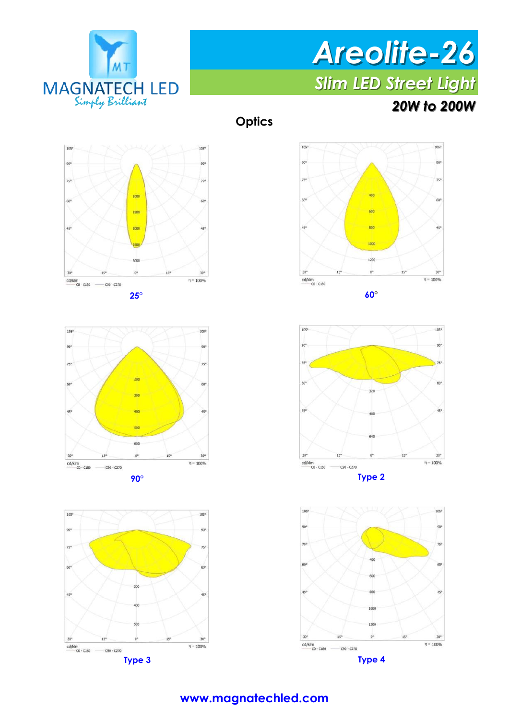



**Optics**





**Type 2**











**Type 3**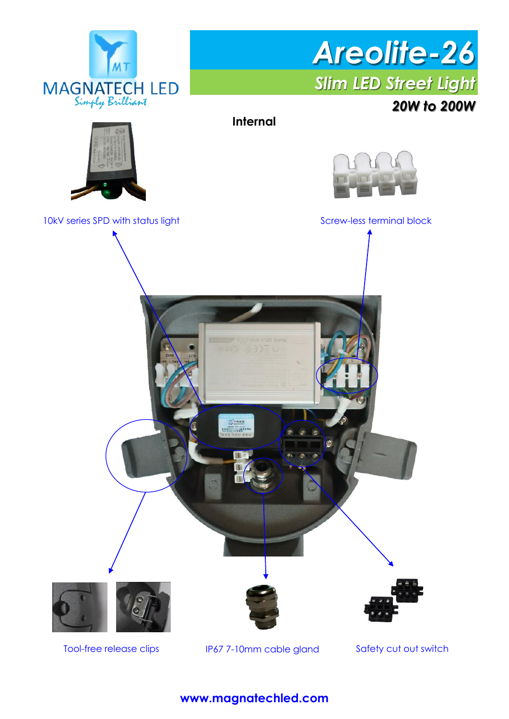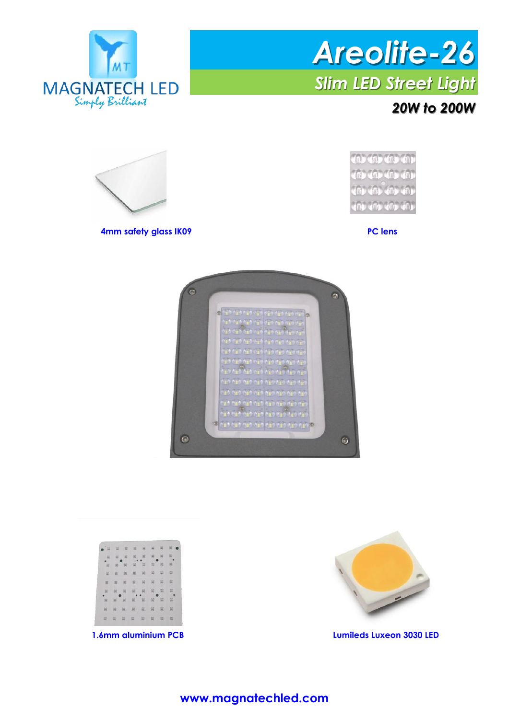





**4mm safety glass IK09 PC lens**









**1.6mm aluminium PCB Lumileds Luxeon 3030 LED**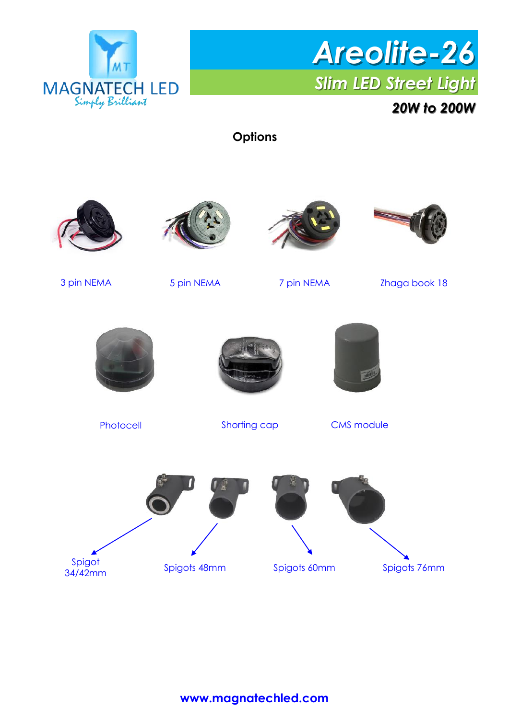



**Options**









3 pin NEMA 5 pin NEMA 7 pin NEMA Zhaga book 18







Photocell Shorting cap CMS module